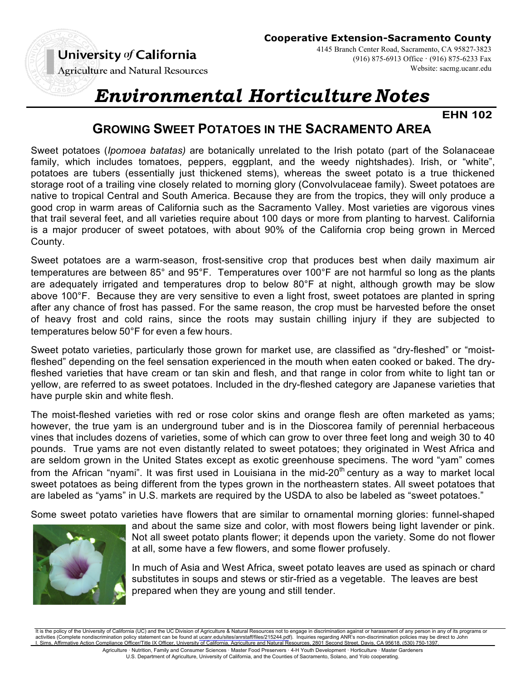(916) 875-6913 Office · (916) 875-6233 Fax

**Agriculture and Natural Resources** 

# *Environmental Horticulture Notes*

**EHN 102**

Website: sacmg.ucanr.edu

# **GROWING SWEET POTATOES IN THE SACRAMENTO AREA**

Sweet potatoes (*Ipomoea batatas)* are botanically unrelated to the Irish potato (part of the Solanaceae family, which includes tomatoes, peppers, eggplant, and the weedy nightshades). Irish, or "white", potatoes are tubers (essentially just thickened stems), whereas the sweet potato is a true thickened storage root of a trailing vine closely related to morning glory (Convolvulaceae family). Sweet potatoes are native to tropical Central and South America. Because they are from the tropics, they will only produce a good crop in warm areas of California such as the Sacramento Valley. Most varieties are vigorous vines that trail several feet, and all varieties require about 100 days or more from planting to harvest. California is a major producer of sweet potatoes, with about 90% of the California crop being grown in Merced County.

Sweet potatoes are a warm-season, frost-sensitive crop that produces best when daily maximum air temperatures are between 85° and 95°F. Temperatures over 100°F are not harmful so long as the plants are adequately irrigated and temperatures drop to below 80°F at night, although growth may be slow above 100°F. Because they are very sensitive to even a light frost, sweet potatoes are planted in spring after any chance of frost has passed. For the same reason, the crop must be harvested before the onset of heavy frost and cold rains, since the roots may sustain chilling injury if they are subjected to temperatures below 50°F for even a few hours.

Sweet potato varieties, particularly those grown for market use, are classified as "dry-fleshed" or "moistfleshed" depending on the feel sensation experienced in the mouth when eaten cooked or baked. The dryfleshed varieties that have cream or tan skin and flesh, and that range in color from white to light tan or yellow, are referred to as sweet potatoes. Included in the dry-fleshed category are Japanese varieties that have purple skin and white flesh.

The moist-fleshed varieties with red or rose color skins and orange flesh are often marketed as yams; however, the true yam is an underground tuber and is in the Dioscorea family of perennial herbaceous vines that includes dozens of varieties, some of which can grow to over three feet long and weigh 30 to 40 pounds. True yams are not even distantly related to sweet potatoes; they originated in West Africa and are seldom grown in the United States except as exotic greenhouse specimens. The word "yam" comes from the African "nyami". It was first used in Louisiana in the mid-20<sup>th</sup> century as a way to market local sweet potatoes as being different from the types grown in the northeastern states. All sweet potatoes that are labeled as "yams" in U.S. markets are required by the USDA to also be labeled as "sweet potatoes."

Some sweet potato varieties have flowers that are similar to ornamental morning glories: funnel-shaped



and about the same size and color, with most flowers being light lavender or pink. Not all sweet potato plants flower; it depends upon the variety. Some do not flower at all, some have a few flowers, and some flower profusely.

In much of Asia and West Africa, sweet potato leaves are used as spinach or chard substitutes in soups and stews or stir-fried as a vegetable. The leaves are best prepared when they are young and still tender.

It is the policy of the University of California (UC) and the UC Division of Agriculture & Natural Resources not to engage in discrimination against or harassment of any person in any of its programs or<br>activities (Complet I. Sims, Affirmative Action Compliance Officer/Title IX Officer, University of California, Agriculture and Natural Resources, 2801 Second Street, Davis, CA 95618, (530) 750-1397.

Agriculture · Nutrition, Family and Consumer Sciences · Master Food Preservers · 4-H Youth Development · Horticulture · Master Gardeners U.S. Department of Agriculture, University of California, and the Counties of Sacramento, Solano, and Yolo cooperating.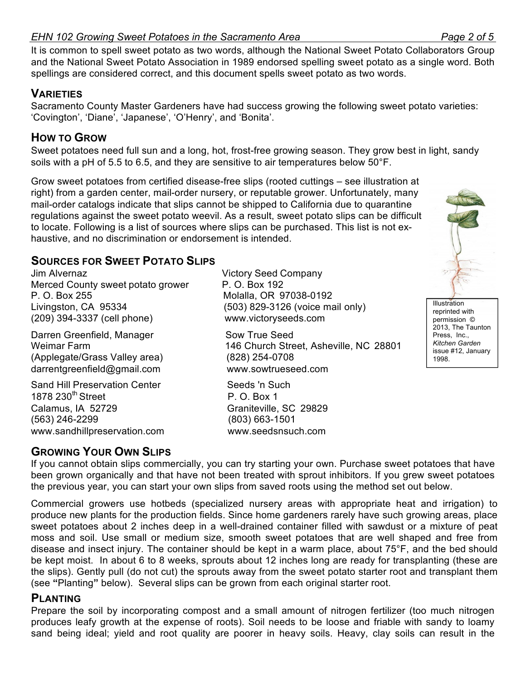### *EHN 102 Growing Sweet Potatoes in the Sacramento Area Page 2 of 5*

It is common to spell sweet potato as two words, although the National Sweet Potato Collaborators Group and the National Sweet Potato Association in 1989 endorsed spelling sweet potato as a single word. Both spellings are considered correct, and this document spells sweet potato as two words.

# **VARIETIES**

Sacramento County Master Gardeners have had success growing the following sweet potato varieties: 'Covington', 'Diane', 'Japanese', 'O'Henry', and 'Bonita'.

# **HOW TO GROW**

Sweet potatoes need full sun and a long, hot, frost-free growing season. They grow best in light, sandy soils with a pH of 5.5 to 6.5, and they are sensitive to air temperatures below 50°F.

Grow sweet potatoes from certified disease-free slips (rooted cuttings – see illustration at right) from a garden center, mail-order nursery, or reputable grower. Unfortunately, many mail-order catalogs indicate that slips cannot be shipped to California due to quarantine regulations against the sweet potato weevil. As a result, sweet potato slips can be difficult to locate. Following is a list of sources where slips can be purchased. This list is not exhaustive, and no discrimination or endorsement is intended.

# **SOURCES FOR SWEET POTATO SLIPS**

Jim Alvernaz Victory Seed Company Merced County sweet potato grower P. O. Box 192 P. O. Box 255 Molalla, OR 97038-0192 Livingston, CA 95334 (503) 829-3126 (voice mail only) (209) 394-3337 (cell phone) www.victoryseeds.com

Darren Greenfield, Manager Sow True Seed Weimar Farm 146 Church Street, Asheville, NC 28801 (Applegate/Grass Valley area) (828) 254-0708 darrentgreenfield@gmail.com www.sowtrueseed.com

Sand Hill Preservation Center Seeds 'n Such 1878 230<sup>th</sup> Street P. O. Box 1<br>Calamus. IA 52729 Calamus Craniteville. (563) 246-2299 (803) 663-1501 www.sandhillpreservation.com www.seedsnsuch.com

# **GROWING YOUR OWN SLIPS**

If you cannot obtain slips commercially, you can try starting your own. Purchase sweet potatoes that have been grown organically and that have not been treated with sprout inhibitors. If you grew sweet potatoes the previous year, you can start your own slips from saved roots using the method set out below.

Graniteville, SC 29829

Commercial growers use hotbeds (specialized nursery areas with appropriate heat and irrigation) to produce new plants for the production fields. Since home gardeners rarely have such growing areas, place sweet potatoes about 2 inches deep in a well-drained container filled with sawdust or a mixture of peat moss and soil. Use small or medium size, smooth sweet potatoes that are well shaped and free from disease and insect injury. The container should be kept in a warm place, about 75°F, and the bed should be kept moist. In about 6 to 8 weeks, sprouts about 12 inches long are ready for transplanting (these are the slips). Gently pull (do not cut) the sprouts away from the sweet potato starter root and transplant them (see **"**Planting**"** below). Several slips can be grown from each original starter root.

# **PLANTING**

Prepare the soil by incorporating compost and a small amount of nitrogen fertilizer (too much nitrogen produces leafy growth at the expense of roots). Soil needs to be loose and friable with sandy to loamy sand being ideal; yield and root quality are poorer in heavy soils. Heavy, clay soils can result in the



Illustration reprinted with permission © 2013, The Taunton Press, Inc., *Kitchen Garden*  issue #12, January 1998.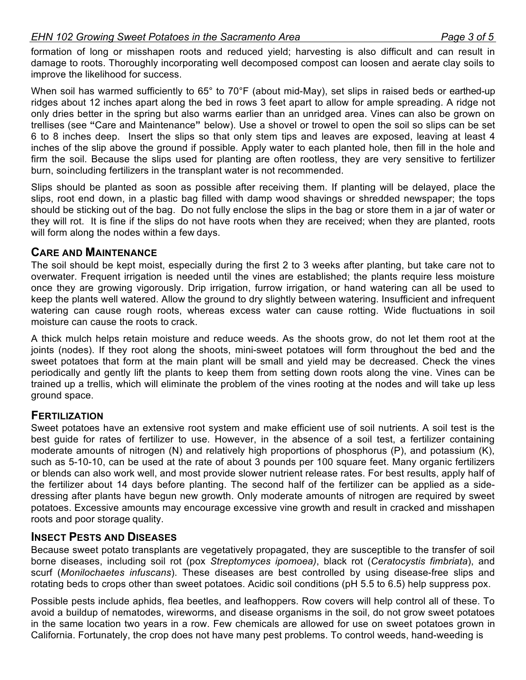#### *EHN 102 Growing Sweet Potatoes in the Sacramento Area Page 3 of 5*

formation of long or misshapen roots and reduced yield; harvesting is also difficult and can result in damage to roots. Thoroughly incorporating well decomposed compost can loosen and aerate clay soils to improve the likelihood for success.

When soil has warmed sufficiently to 65° to 70°F (about mid-May), set slips in raised beds or earthed-up ridges about 12 inches apart along the bed in rows 3 feet apart to allow for ample spreading. A ridge not only dries better in the spring but also warms earlier than an unridged area. Vines can also be grown on trellises (see **"**Care and Maintenance**"** below). Use a shovel or trowel to open the soil so slips can be set 6 to 8 inches deep. Insert the slips so that only stem tips and leaves are exposed, leaving at least 4 inches of the slip above the ground if possible. Apply water to each planted hole, then fill in the hole and firm the soil. Because the slips used for planting are often rootless, they are very sensitive to fertilizer burn, soincluding fertilizers in the transplant water is not recommended.

Slips should be planted as soon as possible after receiving them. If planting will be delayed, place the slips, root end down, in a plastic bag filled with damp wood shavings or shredded newspaper; the tops should be sticking out of the bag. Do not fully enclose the slips in the bag or store them in a jar of water or they will rot. It is fine if the slips do not have roots when they are received; when they are planted, roots will form along the nodes within a few days.

#### **CARE AND MAINTENANCE**

The soil should be kept moist, especially during the first 2 to 3 weeks after planting, but take care not to overwater. Frequent irrigation is needed until the vines are established; the plants require less moisture once they are growing vigorously. Drip irrigation, furrow irrigation, or hand watering can all be used to keep the plants well watered. Allow the ground to dry slightly between watering. Insufficient and infrequent watering can cause rough roots, whereas excess water can cause rotting. Wide fluctuations in soil moisture can cause the roots to crack.

A thick mulch helps retain moisture and reduce weeds. As the shoots grow, do not let them root at the joints (nodes). If they root along the shoots, mini-sweet potatoes will form throughout the bed and the sweet potatoes that form at the main plant will be small and yield may be decreased. Check the vines periodically and gently lift the plants to keep them from setting down roots along the vine. Vines can be trained up a trellis, which will eliminate the problem of the vines rooting at the nodes and will take up less ground space.

#### **FERTILIZATION**

Sweet potatoes have an extensive root system and make efficient use of soil nutrients. A soil test is the best guide for rates of fertilizer to use. However, in the absence of a soil test, a fertilizer containing moderate amounts of nitrogen (N) and relatively high proportions of phosphorus (P), and potassium (K), such as 5-10-10, can be used at the rate of about 3 pounds per 100 square feet. Many organic fertilizers or blends can also work well, and most provide slower nutrient release rates. For best results, apply half of the fertilizer about 14 days before planting. The second half of the fertilizer can be applied as a sidedressing after plants have begun new growth. Only moderate amounts of nitrogen are required by sweet potatoes. Excessive amounts may encourage excessive vine growth and result in cracked and misshapen roots and poor storage quality.

#### **INSECT PESTS AND DISEASES**

Because sweet potato transplants are vegetatively propagated, they are susceptible to the transfer of soil borne diseases, including soil rot (pox *Streptomyces ipomoea)*, black rot (*Ceratocystis fimbriata*), and scurf (*Monilochaetes infuscans*). These diseases are best controlled by using disease-free slips and rotating beds to crops other than sweet potatoes. Acidic soil conditions (pH 5.5 to 6.5) help suppress pox.

Possible pests include aphids, flea beetles, and leafhoppers. Row covers will help control all of these. To avoid a buildup of nematodes, wireworms, and disease organisms in the soil, do not grow sweet potatoes in the same location two years in a row. Few chemicals are allowed for use on sweet potatoes grown in California. Fortunately, the crop does not have many pest problems. To control weeds, hand-weeding is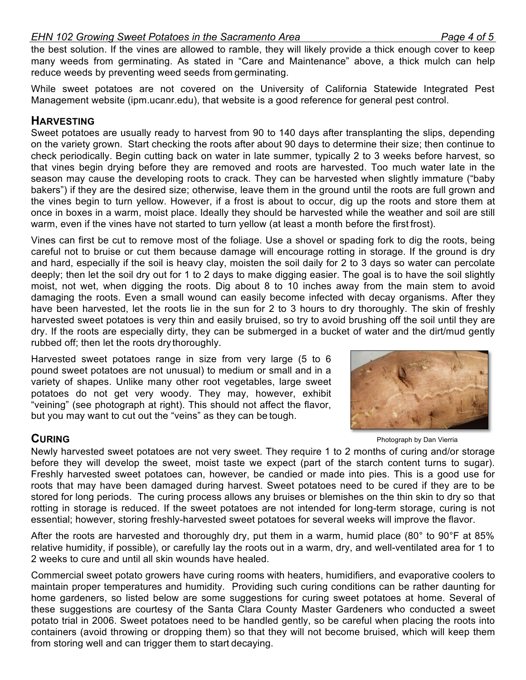#### *EHN 102 Growing Sweet Potatoes in the Sacramento Area Page 4 of 5*

the best solution. If the vines are allowed to ramble, they will likely provide a thick enough cover to keep many weeds from germinating. As stated in "Care and Maintenance" above, a thick mulch can help reduce weeds by preventing weed seeds from germinating.

While sweet potatoes are not covered on the University of California Statewide Integrated Pest Management website (ipm.ucanr.edu), that website is a good reference for general pest control.

### **HARVESTING**

Sweet potatoes are usually ready to harvest from 90 to 140 days after transplanting the slips, depending on the variety grown. Start checking the roots after about 90 days to determine their size; then continue to check periodically. Begin cutting back on water in late summer, typically 2 to 3 weeks before harvest, so that vines begin drying before they are removed and roots are harvested. Too much water late in the season may cause the developing roots to crack. They can be harvested when slightly immature ("baby bakers") if they are the desired size; otherwise, leave them in the ground until the roots are full grown and the vines begin to turn yellow. However, if a frost is about to occur, dig up the roots and store them at once in boxes in a warm, moist place. Ideally they should be harvested while the weather and soil are still warm, even if the vines have not started to turn yellow (at least a month before the first frost).

Vines can first be cut to remove most of the foliage. Use a shovel or spading fork to dig the roots, being careful not to bruise or cut them because damage will encourage rotting in storage. If the ground is dry and hard, especially if the soil is heavy clay, moisten the soil daily for 2 to 3 days so water can percolate deeply; then let the soil dry out for 1 to 2 days to make digging easier. The goal is to have the soil slightly moist, not wet, when digging the roots. Dig about 8 to 10 inches away from the main stem to avoid damaging the roots. Even a small wound can easily become infected with decay organisms. After they have been harvested, let the roots lie in the sun for 2 to 3 hours to dry thoroughly. The skin of freshly harvested sweet potatoes is very thin and easily bruised, so try to avoid brushing off the soil until they are dry. If the roots are especially dirty, they can be submerged in a bucket of water and the dirt/mud gently rubbed off; then let the roots dry thoroughly.

Harvested sweet potatoes range in size from very large (5 to 6 pound sweet potatoes are not unusual) to medium or small and in a variety of shapes. Unlike many other root vegetables, large sweet potatoes do not get very woody. They may, however, exhibit "veining" (see photograph at right). This should not affect the flavor, but you may want to cut out the "veins" as they can be tough.

**CURING** Photograph by Dan Vierria

Newly harvested sweet potatoes are not very sweet. They require 1 to 2 months of curing and/or storage before they will develop the sweet, moist taste we expect (part of the starch content turns to sugar). Freshly harvested sweet potatoes can, however, be candied or made into pies. This is a good use for roots that may have been damaged during harvest. Sweet potatoes need to be cured if they are to be stored for long periods. The curing process allows any bruises or blemishes on the thin skin to dry so that rotting in storage is reduced. If the sweet potatoes are not intended for long-term storage, curing is not essential; however, storing freshly-harvested sweet potatoes for several weeks will improve the flavor.

After the roots are harvested and thoroughly dry, put them in a warm, humid place (80° to 90°F at 85% relative humidity, if possible), or carefully lay the roots out in a warm, dry, and well-ventilated area for 1 to 2 weeks to cure and until all skin wounds have healed.

Commercial sweet potato growers have curing rooms with heaters, humidifiers, and evaporative coolers to maintain proper temperatures and humidity. Providing such curing conditions can be rather daunting for home gardeners, so listed below are some suggestions for curing sweet potatoes at home. Several of these suggestions are courtesy of the Santa Clara County Master Gardeners who conducted a sweet potato trial in 2006. Sweet potatoes need to be handled gently, so be careful when placing the roots into containers (avoid throwing or dropping them) so that they will not become bruised, which will keep them from storing well and can trigger them to start decaying.